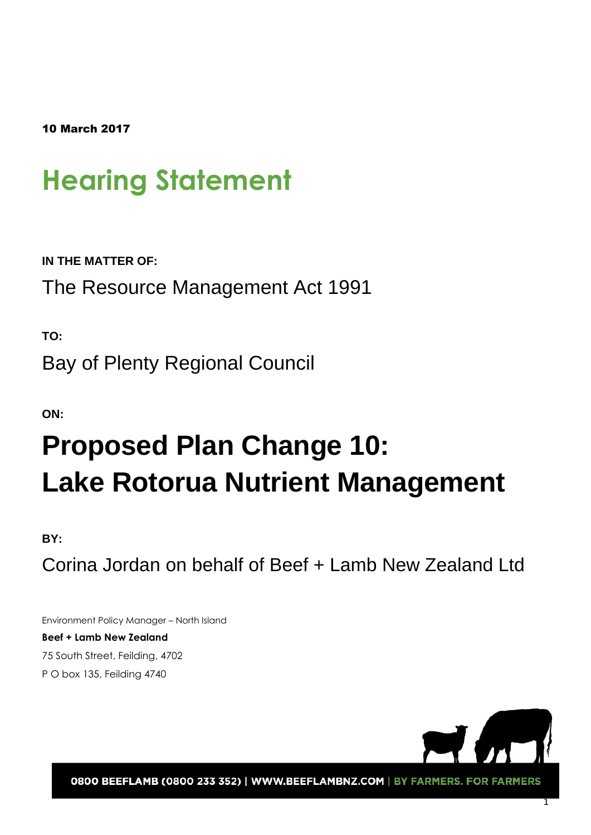10 March 2017

# **Hearing Statement**

**IN THE MATTER OF:** 

The Resource Management Act 1991

**TO:** 

Bay of Plenty Regional Council

**ON:** 

# **Proposed Plan Change 10: Lake Rotorua Nutrient Management**

## **BY:**

Corina Jordan on behalf of Beef + Lamb New Zealand Ltd

Environment Policy Manager – North Island **Beef + Lamb New Zealand** 75 South Street, Feilding, 4702 P O box 135, Feilding 4740



0800 BEEFLAMB (0800 233 352) | WWW.BEEFLAMBNZ.COM | BY FARMERS. FOR FARMERS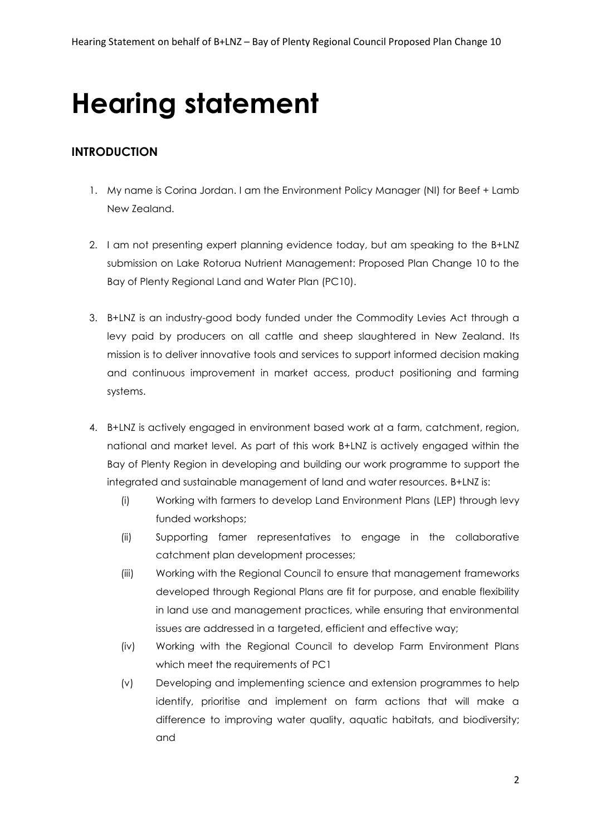# **Hearing statement**

## **INTRODUCTION**

- 1. My name is Corina Jordan. I am the Environment Policy Manager (NI) for Beef + Lamb New Zealand.
- 2. I am not presenting expert planning evidence today, but am speaking to the B+LNZ submission on Lake Rotorua Nutrient Management: Proposed Plan Change 10 to the Bay of Plenty Regional Land and Water Plan (PC10).
- 3. B+LNZ is an industry-good body funded under the Commodity Levies Act through a levy paid by producers on all cattle and sheep slaughtered in New Zealand. Its mission is to deliver innovative tools and services to support informed decision making and continuous improvement in market access, product positioning and farming systems.
- 4. B+LNZ is actively engaged in environment based work at a farm, catchment, region, national and market level. As part of this work B+LNZ is actively engaged within the Bay of Plenty Region in developing and building our work programme to support the integrated and sustainable management of land and water resources. B+LNZ is:
	- (i) Working with farmers to develop Land Environment Plans (LEP) through levy funded workshops;
	- (ii) Supporting famer representatives to engage in the collaborative catchment plan development processes;
	- (iii) Working with the Regional Council to ensure that management frameworks developed through Regional Plans are fit for purpose, and enable flexibility in land use and management practices, while ensuring that environmental issues are addressed in a targeted, efficient and effective way;
	- (iv) Working with the Regional Council to develop Farm Environment Plans which meet the requirements of PC1
	- (v) Developing and implementing science and extension programmes to help identify, prioritise and implement on farm actions that will make a difference to improving water quality, aquatic habitats, and biodiversity; and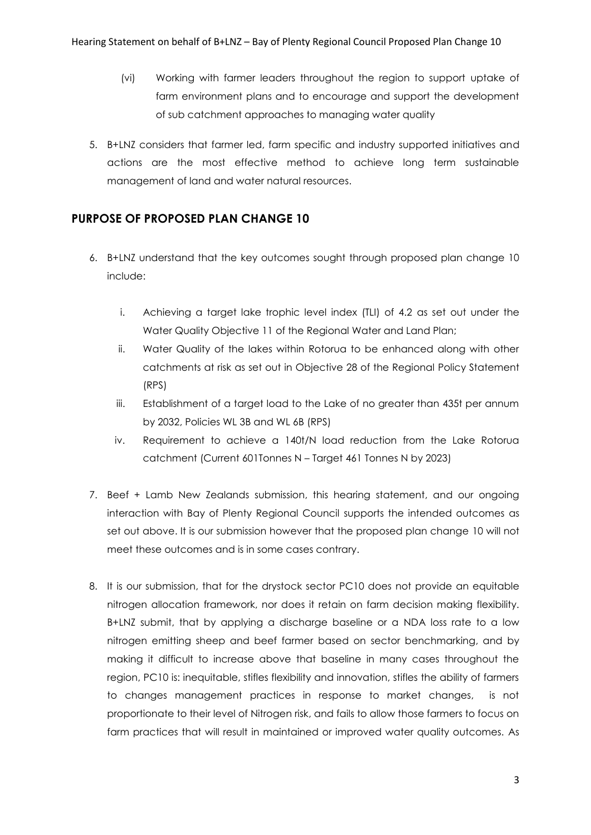- (vi) Working with farmer leaders throughout the region to support uptake of farm environment plans and to encourage and support the development of sub catchment approaches to managing water quality
- 5. B+LNZ considers that farmer led, farm specific and industry supported initiatives and actions are the most effective method to achieve long term sustainable management of land and water natural resources.

## **PURPOSE OF PROPOSED PLAN CHANGE 10**

- 6. B+LNZ understand that the key outcomes sought through proposed plan change 10 include:
	- i. Achieving a target lake trophic level index (TLI) of 4.2 as set out under the Water Quality Objective 11 of the Regional Water and Land Plan;
	- ii. Water Quality of the lakes within Rotorua to be enhanced along with other catchments at risk as set out in Objective 28 of the Regional Policy Statement (RPS)
	- iii. Establishment of a target load to the Lake of no greater than 435t per annum by 2032, Policies WL 3B and WL 6B (RPS)
	- iv. Requirement to achieve a 140t/N load reduction from the Lake Rotorua catchment (Current 601Tonnes N – Target 461 Tonnes N by 2023)
- 7. Beef + Lamb New Zealands submission, this hearing statement, and our ongoing interaction with Bay of Plenty Regional Council supports the intended outcomes as set out above. It is our submission however that the proposed plan change 10 will not meet these outcomes and is in some cases contrary.
- 8. It is our submission, that for the drystock sector PC10 does not provide an equitable nitrogen allocation framework, nor does it retain on farm decision making flexibility. B+LNZ submit, that by applying a discharge baseline or a NDA loss rate to a low nitrogen emitting sheep and beef farmer based on sector benchmarking, and by making it difficult to increase above that baseline in many cases throughout the region, PC10 is: inequitable, stifles flexibility and innovation, stifles the ability of farmers to changes management practices in response to market changes, is not proportionate to their level of Nitrogen risk, and fails to allow those farmers to focus on farm practices that will result in maintained or improved water quality outcomes. As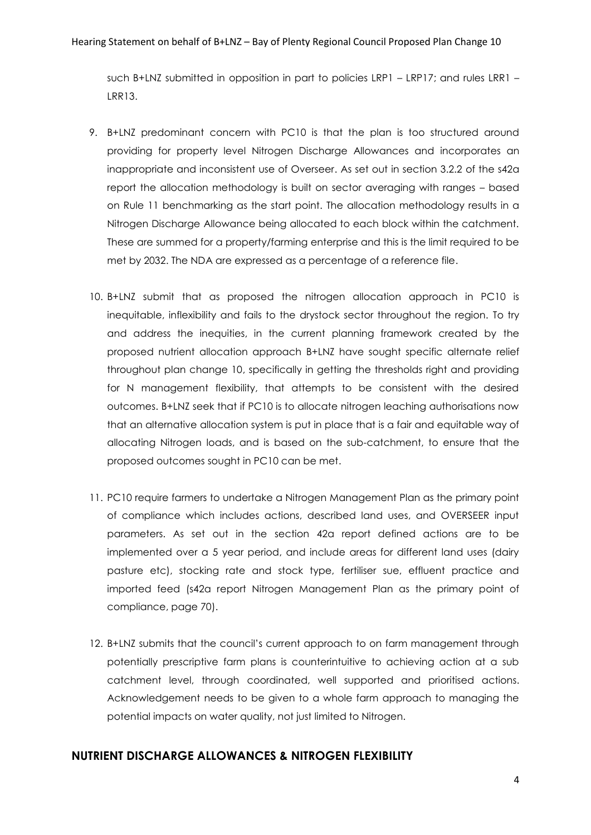such B+LNZ submitted in opposition in part to policies LRP1 – LRP17; and rules LRR1 – LRR13.

- 9. B+LNZ predominant concern with PC10 is that the plan is too structured around providing for property level Nitrogen Discharge Allowances and incorporates an inappropriate and inconsistent use of Overseer. As set out in section 3.2.2 of the s42a report the allocation methodology is built on sector averaging with ranges – based on Rule 11 benchmarking as the start point. The allocation methodology results in a Nitrogen Discharge Allowance being allocated to each block within the catchment. These are summed for a property/farming enterprise and this is the limit required to be met by 2032. The NDA are expressed as a percentage of a reference file.
- 10. B+LNZ submit that as proposed the nitrogen allocation approach in PC10 is inequitable, inflexibility and fails to the drystock sector throughout the region. To try and address the inequities, in the current planning framework created by the proposed nutrient allocation approach B+LNZ have sought specific alternate relief throughout plan change 10, specifically in getting the thresholds right and providing for N management flexibility, that attempts to be consistent with the desired outcomes. B+LNZ seek that if PC10 is to allocate nitrogen leaching authorisations now that an alternative allocation system is put in place that is a fair and equitable way of allocating Nitrogen loads, and is based on the sub-catchment, to ensure that the proposed outcomes sought in PC10 can be met.
- 11. PC10 require farmers to undertake a Nitrogen Management Plan as the primary point of compliance which includes actions, described land uses, and OVERSEER input parameters. As set out in the section 42a report defined actions are to be implemented over a 5 year period, and include areas for different land uses (dairy pasture etc), stocking rate and stock type, fertiliser sue, effluent practice and imported feed (s42a report Nitrogen Management Plan as the primary point of compliance, page 70).
- 12. B+LNZ submits that the council's current approach to on farm management through potentially prescriptive farm plans is counterintuitive to achieving action at a sub catchment level, through coordinated, well supported and prioritised actions. Acknowledgement needs to be given to a whole farm approach to managing the potential impacts on water quality, not just limited to Nitrogen.

## **NUTRIENT DISCHARGE ALLOWANCES & NITROGEN FLEXIBILITY**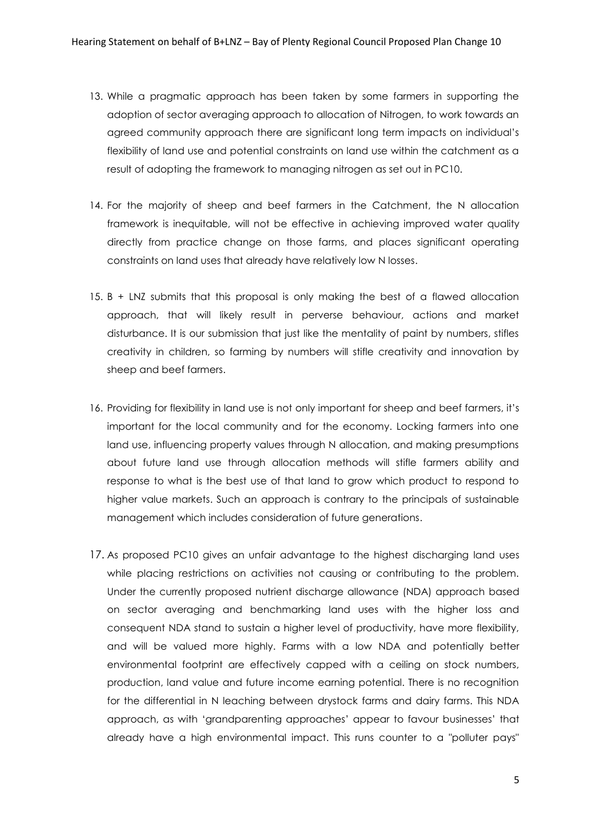- 13. While a pragmatic approach has been taken by some farmers in supporting the adoption of sector averaging approach to allocation of Nitrogen, to work towards an agreed community approach there are significant long term impacts on individual's flexibility of land use and potential constraints on land use within the catchment as a result of adopting the framework to managing nitrogen as set out in PC10.
- 14. For the majority of sheep and beef farmers in the Catchment, the N allocation framework is inequitable, will not be effective in achieving improved water quality directly from practice change on those farms, and places significant operating constraints on land uses that already have relatively low N losses.
- 15. B + LNZ submits that this proposal is only making the best of a flawed allocation approach, that will likely result in perverse behaviour, actions and market disturbance. It is our submission that just like the mentality of paint by numbers, stifles creativity in children, so farming by numbers will stifle creativity and innovation by sheep and beef farmers.
- 16. Providing for flexibility in land use is not only important for sheep and beef farmers, it's important for the local community and for the economy. Locking farmers into one land use, influencing property values through N allocation, and making presumptions about future land use through allocation methods will stifle farmers ability and response to what is the best use of that land to grow which product to respond to higher value markets. Such an approach is contrary to the principals of sustainable management which includes consideration of future generations.
- 17. As proposed PC10 gives an unfair advantage to the highest discharging land uses while placing restrictions on activities not causing or contributing to the problem. Under the currently proposed nutrient discharge allowance (NDA) approach based on sector averaging and benchmarking land uses with the higher loss and consequent NDA stand to sustain a higher level of productivity, have more flexibility, and will be valued more highly. Farms with a low NDA and potentially better environmental footprint are effectively capped with a ceiling on stock numbers, production, land value and future income earning potential. There is no recognition for the differential in N leaching between drystock farms and dairy farms. This NDA approach, as with 'grandparenting approaches' appear to favour businesses' that already have a high environmental impact. This runs counter to a "polluter pays"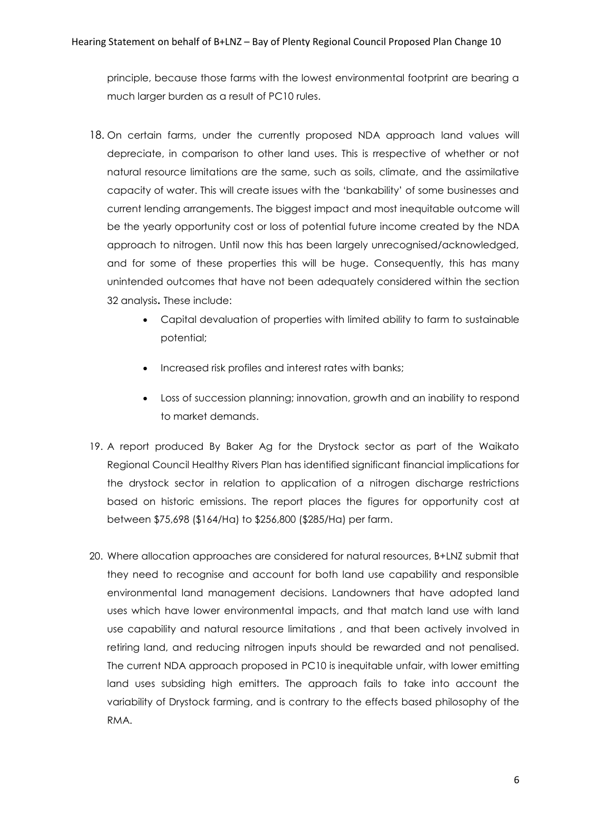principle, because those farms with the lowest environmental footprint are bearing a much larger burden as a result of PC10 rules.

- 18. On certain farms, under the currently proposed NDA approach land values will depreciate, in comparison to other land uses. This is rrespective of whether or not natural resource limitations are the same, such as soils, climate, and the assimilative capacity of water. This will create issues with the 'bankability' of some businesses and current lending arrangements. The biggest impact and most inequitable outcome will be the yearly opportunity cost or loss of potential future income created by the NDA approach to nitrogen. Until now this has been largely unrecognised/acknowledged, and for some of these properties this will be huge. Consequently, this has many unintended outcomes that have not been adequately considered within the section 32 analysis**.** These include:
	- Capital devaluation of properties with limited ability to farm to sustainable potential;
	- Increased risk profiles and interest rates with banks;
	- Loss of succession planning; innovation, growth and an inability to respond to market demands.
- 19. A report produced By Baker Ag for the Drystock sector as part of the Waikato Regional Council Healthy Rivers Plan has identified significant financial implications for the drystock sector in relation to application of a nitrogen discharge restrictions based on historic emissions. The report places the figures for opportunity cost at between \$75,698 (\$164/Ha) to \$256,800 (\$285/Ha) per farm.
- 20. Where allocation approaches are considered for natural resources, B+LNZ submit that they need to recognise and account for both land use capability and responsible environmental land management decisions. Landowners that have adopted land uses which have lower environmental impacts, and that match land use with land use capability and natural resource limitations , and that been actively involved in retiring land, and reducing nitrogen inputs should be rewarded and not penalised. The current NDA approach proposed in PC10 is inequitable unfair, with lower emitting land uses subsiding high emitters. The approach fails to take into account the variability of Drystock farming, and is contrary to the effects based philosophy of the RMA.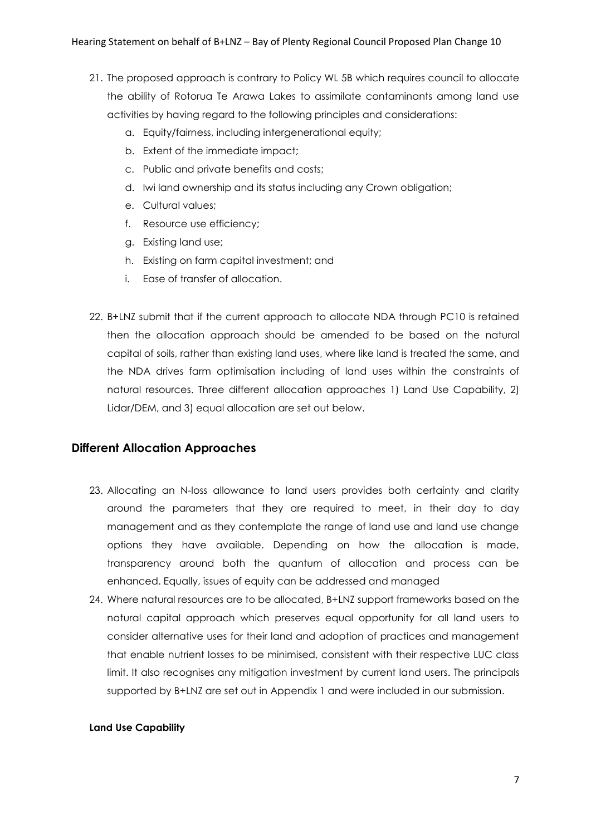- 21. The proposed approach is contrary to Policy WL 5B which requires council to allocate the ability of Rotorua Te Arawa Lakes to assimilate contaminants among land use activities by having regard to the following principles and considerations:
	- a. Equity/fairness, including intergenerational equity;
	- b. Extent of the immediate impact;
	- c. Public and private benefits and costs;
	- d. Iwi land ownership and its status including any Crown obligation;
	- e. Cultural values;
	- f. Resource use efficiency;
	- g. Existing land use;
	- h. Existing on farm capital investment; and
	- i. Ease of transfer of allocation.
- 22. B+LNZ submit that if the current approach to allocate NDA through PC10 is retained then the allocation approach should be amended to be based on the natural capital of soils, rather than existing land uses, where like land is treated the same, and the NDA drives farm optimisation including of land uses within the constraints of natural resources. Three different allocation approaches 1) Land Use Capability, 2) Lidar/DEM, and 3) equal allocation are set out below.

### **Different Allocation Approaches**

- 23. Allocating an N-loss allowance to land users provides both certainty and clarity around the parameters that they are required to meet, in their day to day management and as they contemplate the range of land use and land use change options they have available. Depending on how the allocation is made, transparency around both the quantum of allocation and process can be enhanced. Equally, issues of equity can be addressed and managed
- 24. Where natural resources are to be allocated, B+LNZ support frameworks based on the natural capital approach which preserves equal opportunity for all land users to consider alternative uses for their land and adoption of practices and management that enable nutrient losses to be minimised, consistent with their respective LUC class limit. It also recognises any mitigation investment by current land users. The principals supported by B+LNZ are set out in Appendix 1 and were included in our submission.

#### **Land Use Capability**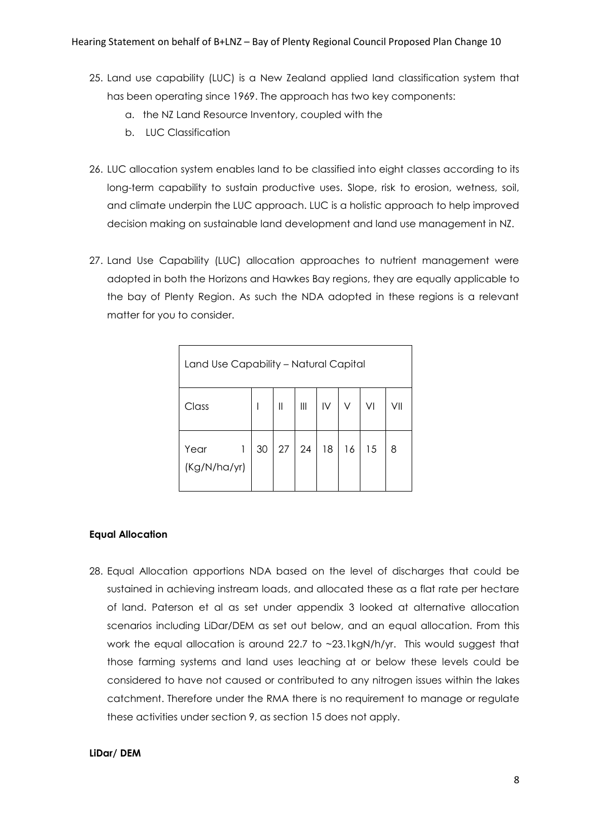- 25. Land use capability (LUC) is a New Zealand applied land classification system that has been operating since 1969. The approach has two key components:
	- a. the NZ Land Resource Inventory, coupled with the
	- b. LUC Classification
- 26. LUC allocation system enables land to be classified into eight classes according to its long-term capability to sustain productive uses. Slope, risk to erosion, wetness, soil, and climate underpin the LUC approach. LUC is a holistic approach to help improved decision making on sustainable land development and land use management in NZ.
- 27. Land Use Capability (LUC) allocation approaches to nutrient management were adopted in both the Horizons and Hawkes Bay regions, they are equally applicable to the bay of Plenty Region. As such the NDA adopted in these regions is a relevant matter for you to consider.

| Land Use Capability - Natural Capital |   |    |              |                    |   |       |    |     |
|---------------------------------------|---|----|--------------|--------------------|---|-------|----|-----|
| Class                                 |   |    | $\mathbb{H}$ | $\mathop{\rm III}$ | N | V.    | V  | VII |
| Year<br>(Kg/N/ha/yr)                  | 1 | 30 | 27           | 24                 |   | 18 16 | 15 | 8   |

#### **Equal Allocation**

28. Equal Allocation apportions NDA based on the level of discharges that could be sustained in achieving instream loads, and allocated these as a flat rate per hectare of land. Paterson et al as set under appendix 3 looked at alternative allocation scenarios including LiDar/DEM as set out below, and an equal allocation. From this work the equal allocation is around 22.7 to ~23.1kgN/h/yr. This would suggest that those farming systems and land uses leaching at or below these levels could be considered to have not caused or contributed to any nitrogen issues within the lakes catchment. Therefore under the RMA there is no requirement to manage or regulate these activities under section 9, as section 15 does not apply.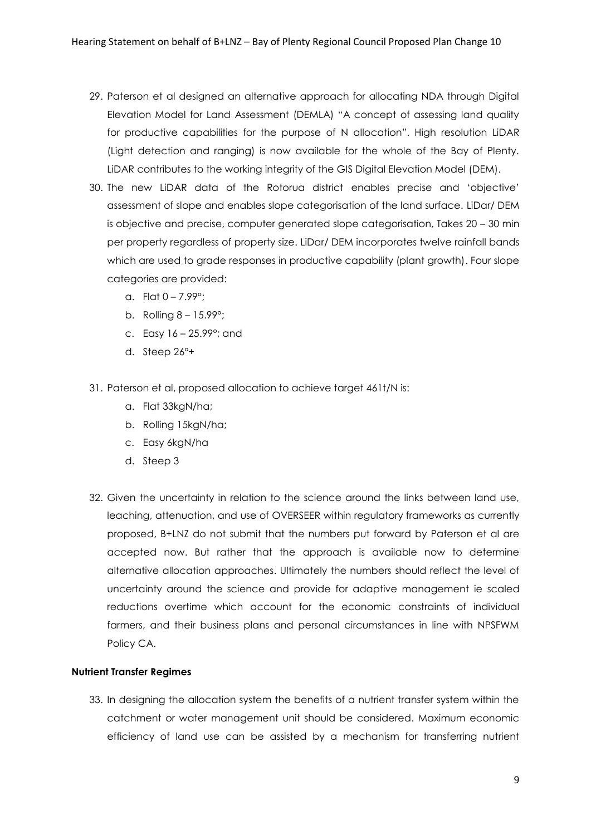- 29. Paterson et al designed an alternative approach for allocating NDA through Digital Elevation Model for Land Assessment (DEMLA) "A concept of assessing land quality for productive capabilities for the purpose of N allocation". High resolution LiDAR (Light detection and ranging) is now available for the whole of the Bay of Plenty. LiDAR contributes to the working integrity of the GIS Digital Elevation Model (DEM).
- 30. The new LiDAR data of the Rotorua district enables precise and 'objective' assessment of slope and enables slope categorisation of the land surface. LiDar/ DEM is objective and precise, computer generated slope categorisation, Takes 20 – 30 min per property regardless of property size. LiDar/ DEM incorporates twelve rainfall bands which are used to grade responses in productive capability (plant growth). Four slope categories are provided:
	- a. Flat  $0 7.99^{\circ}$ ;
	- b. Rolling 8 15.99°;
	- c. Easy 16 25.99°; and
	- d. Steep 26°+
- 31. Paterson et al, proposed allocation to achieve target 461t/N is:
	- a. Flat 33kgN/ha;
	- b. Rolling 15kgN/ha;
	- c. Easy 6kgN/ha
	- d. Steep 3
- 32. Given the uncertainty in relation to the science around the links between land use, leaching, attenuation, and use of OVERSEER within regulatory frameworks as currently proposed, B+LNZ do not submit that the numbers put forward by Paterson et al are accepted now. But rather that the approach is available now to determine alternative allocation approaches. Ultimately the numbers should reflect the level of uncertainty around the science and provide for adaptive management ie scaled reductions overtime which account for the economic constraints of individual farmers, and their business plans and personal circumstances in line with NPSFWM Policy CA.

#### **Nutrient Transfer Regimes**

33. In designing the allocation system the benefits of a nutrient transfer system within the catchment or water management unit should be considered. Maximum economic efficiency of land use can be assisted by a mechanism for transferring nutrient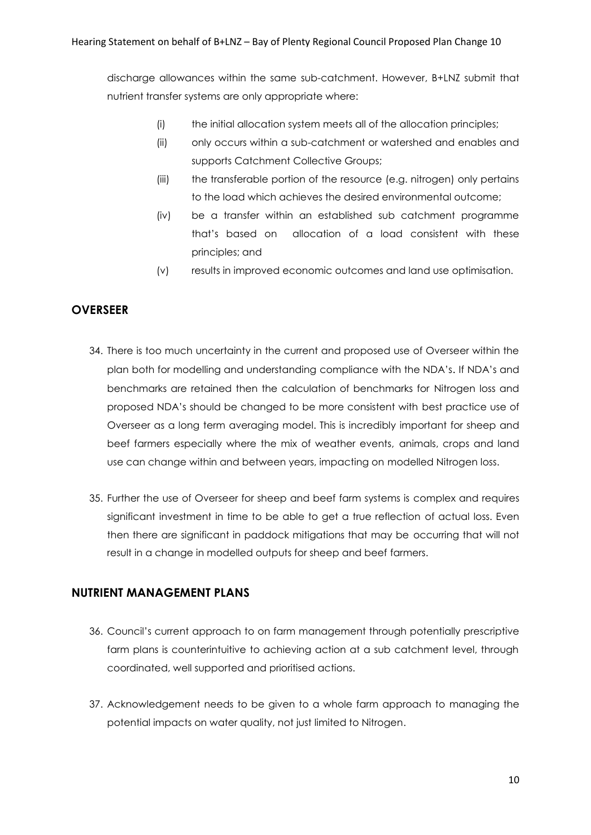discharge allowances within the same sub-catchment. However, B+LNZ submit that nutrient transfer systems are only appropriate where:

- (i) the initial allocation system meets all of the allocation principles;
- (ii) only occurs within a sub-catchment or watershed and enables and supports Catchment Collective Groups;
- (iii) the transferable portion of the resource (e.g. nitrogen) only pertains to the load which achieves the desired environmental outcome;
- (iv) be a transfer within an established sub catchment programme that's based on allocation of a load consistent with these principles; and
- (v) results in improved economic outcomes and land use optimisation.

## **OVERSEER**

- 34. There is too much uncertainty in the current and proposed use of Overseer within the plan both for modelling and understanding compliance with the NDA's. If NDA's and benchmarks are retained then the calculation of benchmarks for Nitrogen loss and proposed NDA's should be changed to be more consistent with best practice use of Overseer as a long term averaging model. This is incredibly important for sheep and beef farmers especially where the mix of weather events, animals, crops and land use can change within and between years, impacting on modelled Nitrogen loss.
- 35. Further the use of Overseer for sheep and beef farm systems is complex and requires significant investment in time to be able to get a true reflection of actual loss. Even then there are significant in paddock mitigations that may be occurring that will not result in a change in modelled outputs for sheep and beef farmers.

## **NUTRIENT MANAGEMENT PLANS**

- 36. Council's current approach to on farm management through potentially prescriptive farm plans is counterintuitive to achieving action at a sub catchment level, through coordinated, well supported and prioritised actions.
- 37. Acknowledgement needs to be given to a whole farm approach to managing the potential impacts on water quality, not just limited to Nitrogen.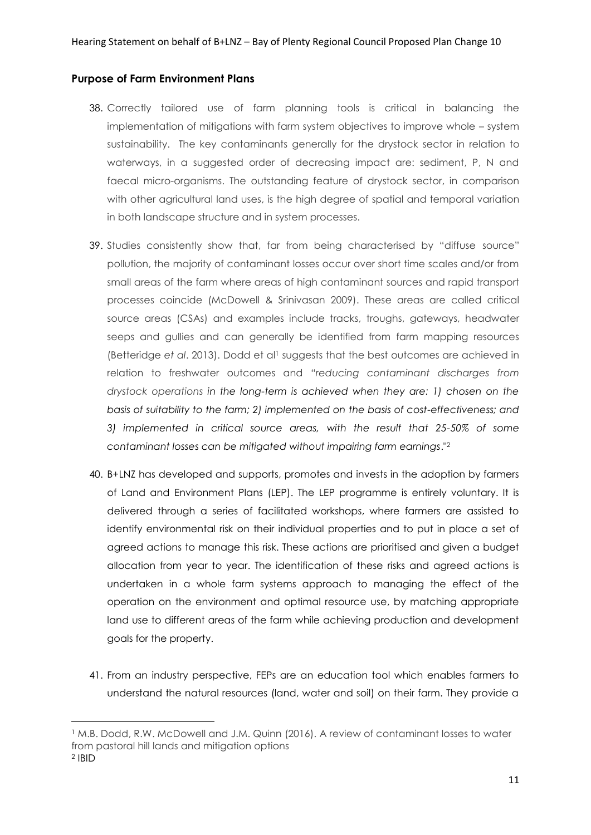## **Purpose of Farm Environment Plans**

- 38. Correctly tailored use of farm planning tools is critical in balancing the implementation of mitigations with farm system objectives to improve whole – system sustainability. The key contaminants generally for the drystock sector in relation to waterways, in a suggested order of decreasing impact are: sediment, P, N and faecal micro-organisms. The outstanding feature of drystock sector, in comparison with other agricultural land uses, is the high degree of spatial and temporal variation in both landscape structure and in system processes.
- 39. Studies consistently show that, far from being characterised by "diffuse source" pollution, the majority of contaminant losses occur over short time scales and/or from small areas of the farm where areas of high contaminant sources and rapid transport processes coincide (McDowell & Srinivasan 2009). These areas are called critical source areas (CSAs) and examples include tracks, troughs, gateways, headwater seeps and gullies and can generally be identified from farm mapping resources (Betteridge *et al*. 2013). Dodd et al<sup>1</sup> suggests that the best outcomes are achieved in relation to freshwater outcomes and "*reducing contaminant discharges from drystock operations in the long-term is achieved when they are: 1) chosen on the basis of suitability to the farm; 2) implemented on the basis of cost-effectiveness; and 3) implemented in critical source areas, with the result that 25-50% of some contaminant losses can be mitigated without impairing farm earnings*."<sup>2</sup>
- 40. B+LNZ has developed and supports, promotes and invests in the adoption by farmers of Land and Environment Plans (LEP). The LEP programme is entirely voluntary. It is delivered through a series of facilitated workshops, where farmers are assisted to identify environmental risk on their individual properties and to put in place a set of agreed actions to manage this risk. These actions are prioritised and given a budget allocation from year to year. The identification of these risks and agreed actions is undertaken in a whole farm systems approach to managing the effect of the operation on the environment and optimal resource use, by matching appropriate land use to different areas of the farm while achieving production and development goals for the property.
- 41. From an industry perspective, FEPs are an education tool which enables farmers to understand the natural resources (land, water and soil) on their farm. They provide a

1

<sup>1</sup> M.B. Dodd, R.W. McDowell and J.M. Quinn (2016). A review of contaminant losses to water from pastoral hill lands and mitigation options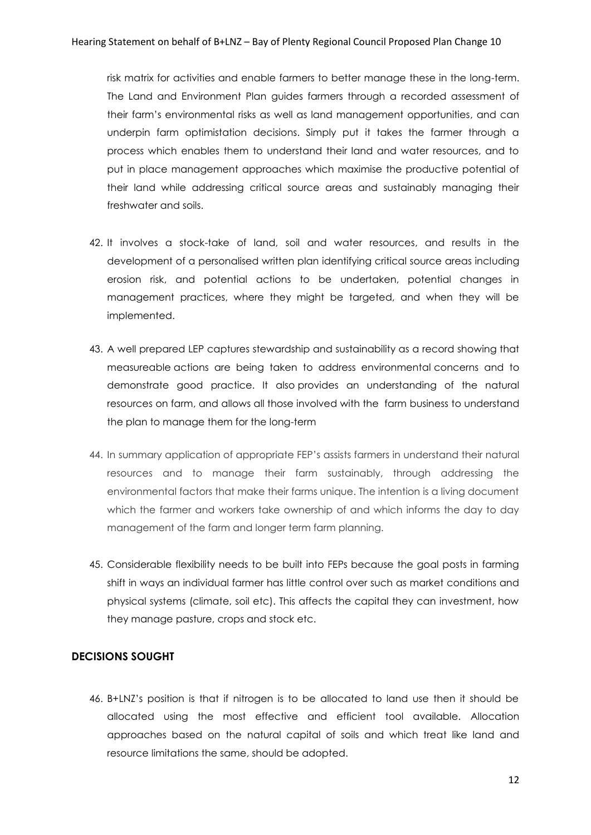risk matrix for activities and enable farmers to better manage these in the long-term. The Land and Environment Plan guides farmers through a recorded assessment of their farm's environmental risks as well as land management opportunities, and can underpin farm optimistation decisions. Simply put it takes the farmer through a process which enables them to understand their land and water resources, and to put in place management approaches which maximise the productive potential of their land while addressing critical source areas and sustainably managing their freshwater and soils.

- 42. It involves a stock-take of land, soil and water resources, and results in the development of a personalised written plan identifying critical source areas including erosion risk, and potential actions to be undertaken, potential changes in management practices, where they might be targeted, and when they will be implemented.
- 43. A well prepared LEP captures stewardship and sustainability as a record showing that measureable actions are being taken to address environmental concerns and to demonstrate good practice. It also provides an understanding of the natural resources on farm, and allows all those involved with the farm business to understand the plan to manage them for the long-term
- 44. In summary application of appropriate FEP's assists farmers in understand their natural resources and to manage their farm sustainably, through addressing the environmental factors that make their farms unique. The intention is a living document which the farmer and workers take ownership of and which informs the day to day management of the farm and longer term farm planning.
- 45. Considerable flexibility needs to be built into FEPs because the goal posts in farming shift in ways an individual farmer has little control over such as market conditions and physical systems (climate, soil etc). This affects the capital they can investment, how they manage pasture, crops and stock etc.

## **DECISIONS SOUGHT**

46. B+LNZ's position is that if nitrogen is to be allocated to land use then it should be allocated using the most effective and efficient tool available. Allocation approaches based on the natural capital of soils and which treat like land and resource limitations the same, should be adopted.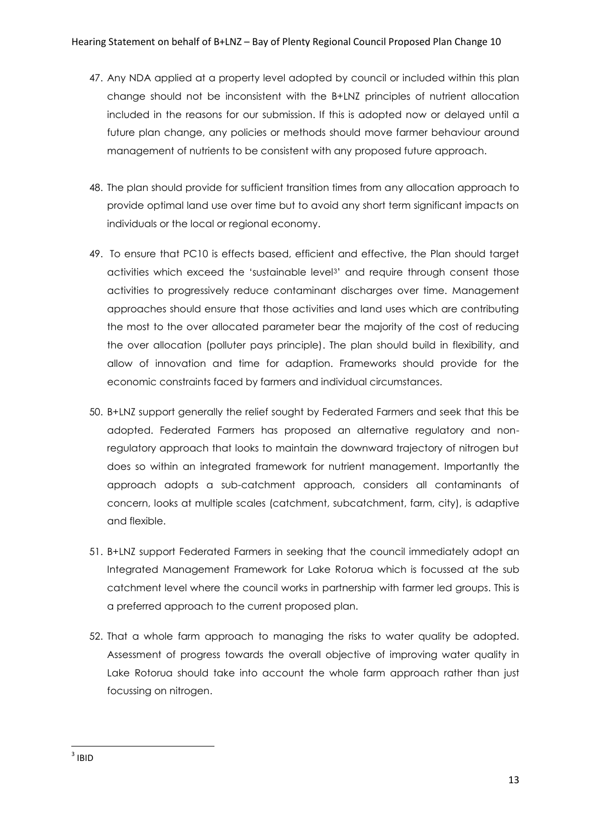- 47. Any NDA applied at a property level adopted by council or included within this plan change should not be inconsistent with the B+LNZ principles of nutrient allocation included in the reasons for our submission. If this is adopted now or delayed until a future plan change, any policies or methods should move farmer behaviour around management of nutrients to be consistent with any proposed future approach.
- 48. The plan should provide for sufficient transition times from any allocation approach to provide optimal land use over time but to avoid any short term significant impacts on individuals or the local or regional economy.
- 49. To ensure that PC10 is effects based, efficient and effective, the Plan should target activities which exceed the 'sustainable level3' and require through consent those activities to progressively reduce contaminant discharges over time. Management approaches should ensure that those activities and land uses which are contributing the most to the over allocated parameter bear the majority of the cost of reducing the over allocation (polluter pays principle). The plan should build in flexibility, and allow of innovation and time for adaption. Frameworks should provide for the economic constraints faced by farmers and individual circumstances.
- 50. B+LNZ support generally the relief sought by Federated Farmers and seek that this be adopted. Federated Farmers has proposed an alternative regulatory and nonregulatory approach that looks to maintain the downward trajectory of nitrogen but does so within an integrated framework for nutrient management. Importantly the approach adopts a sub-catchment approach, considers all contaminants of concern, looks at multiple scales (catchment, subcatchment, farm, city), is adaptive and flexible.
- 51. B+LNZ support Federated Farmers in seeking that the council immediately adopt an Integrated Management Framework for Lake Rotorua which is focussed at the sub catchment level where the council works in partnership with farmer led groups. This is a preferred approach to the current proposed plan.
- 52. That a whole farm approach to managing the risks to water quality be adopted. Assessment of progress towards the overall objective of improving water quality in Lake Rotorua should take into account the whole farm approach rather than just focussing on nitrogen.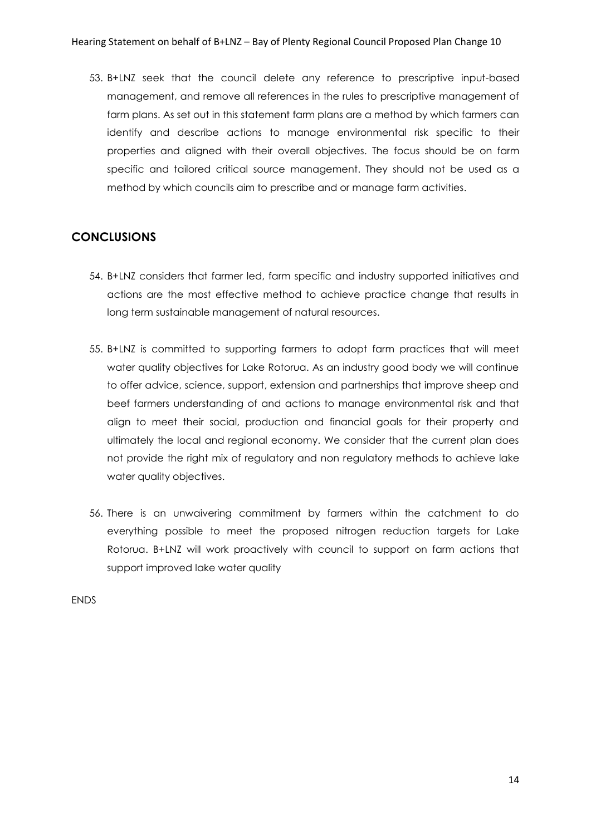53. B+LNZ seek that the council delete any reference to prescriptive input-based management, and remove all references in the rules to prescriptive management of farm plans. As set out in this statement farm plans are a method by which farmers can identify and describe actions to manage environmental risk specific to their properties and aligned with their overall objectives. The focus should be on farm specific and tailored critical source management. They should not be used as a method by which councils aim to prescribe and or manage farm activities.

## **CONCLUSIONS**

- 54. B+LNZ considers that farmer led, farm specific and industry supported initiatives and actions are the most effective method to achieve practice change that results in long term sustainable management of natural resources.
- 55. B+LNZ is committed to supporting farmers to adopt farm practices that will meet water quality objectives for Lake Rotorua. As an industry good body we will continue to offer advice, science, support, extension and partnerships that improve sheep and beef farmers understanding of and actions to manage environmental risk and that align to meet their social, production and financial goals for their property and ultimately the local and regional economy. We consider that the current plan does not provide the right mix of regulatory and non regulatory methods to achieve lake water quality objectives.
- 56. There is an unwaivering commitment by farmers within the catchment to do everything possible to meet the proposed nitrogen reduction targets for Lake Rotorua. B+LNZ will work proactively with council to support on farm actions that support improved lake water quality

ENDS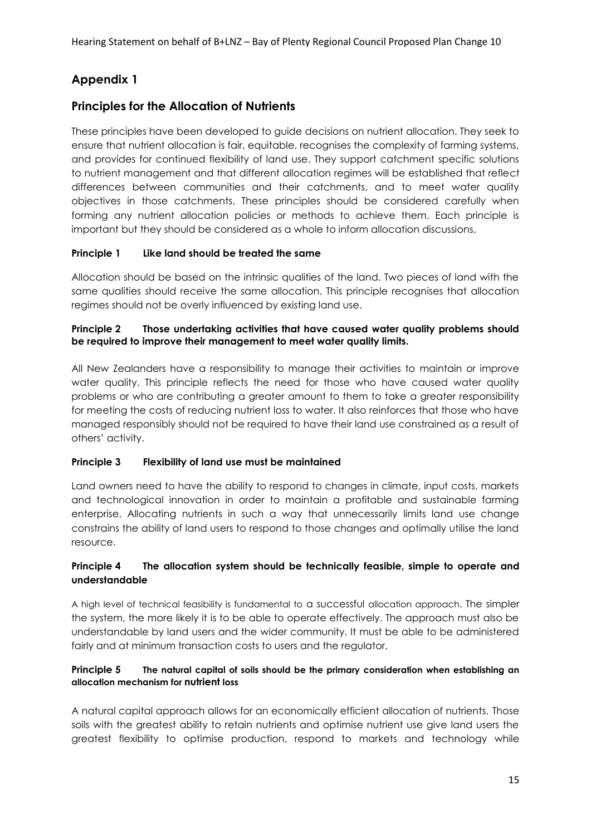## **Appendix 1**

## **Principles for the Allocation of Nutrients**

These principles have been developed to guide decisions on nutrient allocation. They seek to ensure that nutrient allocation is fair, equitable, recognises the complexity of farming systems, and provides for continued flexibility of land use. They support catchment specific solutions to nutrient management and that different allocation regimes will be established that reflect differences between communities and their catchments, and to meet water quality objectives in those catchments. These principles should be considered carefully when forming any nutrient allocation policies or methods to achieve them. Each principle is important but they should be considered as a whole to inform allocation discussions.

## **Principle 1 Like land should be treated the same**

Allocation should be based on the intrinsic qualities of the land. Two pieces of land with the same qualities should receive the same allocation. This principle recognises that allocation regimes should not be overly influenced by existing land use.

## **Principle 2 Those undertaking activities that have caused water quality problems should be required to improve their management to meet water quality limits.**

All New Zealanders have a responsibility to manage their activities to maintain or improve water quality. This principle reflects the need for those who have caused water quality problems or who are contributing a greater amount to them to take a greater responsibility for meeting the costs of reducing nutrient loss to water. It also reinforces that those who have managed responsibly should not be required to have their land use constrained as a result of others' activity.

### **Principle 3 Flexibility of land use must be maintained**

Land owners need to have the ability to respond to changes in climate, input costs, markets and technological innovation in order to maintain a profitable and sustainable farming enterprise. Allocating nutrients in such a way that unnecessarily limits land use change constrains the ability of land users to respond to those changes and optimally utilise the land resource.

## **Principle 4 The allocation system should be technically feasible, simple to operate and understandable**

A high level of technical feasibility is fundamental to a successful allocation approach. The simpler the system, the more likely it is to be able to operate effectively. The approach must also be understandable by land users and the wider community. It must be able to be administered fairly and at minimum transaction costs to users and the regulator.

### **Principle 5 The natural capital of soils should be the primary consideration when establishing an allocation mechanism for nutrient loss**

A natural capital approach allows for an economically efficient allocation of nutrients. Those soils with the greatest ability to retain nutrients and optimise nutrient use give land users the greatest flexibility to optimise production, respond to markets and technology while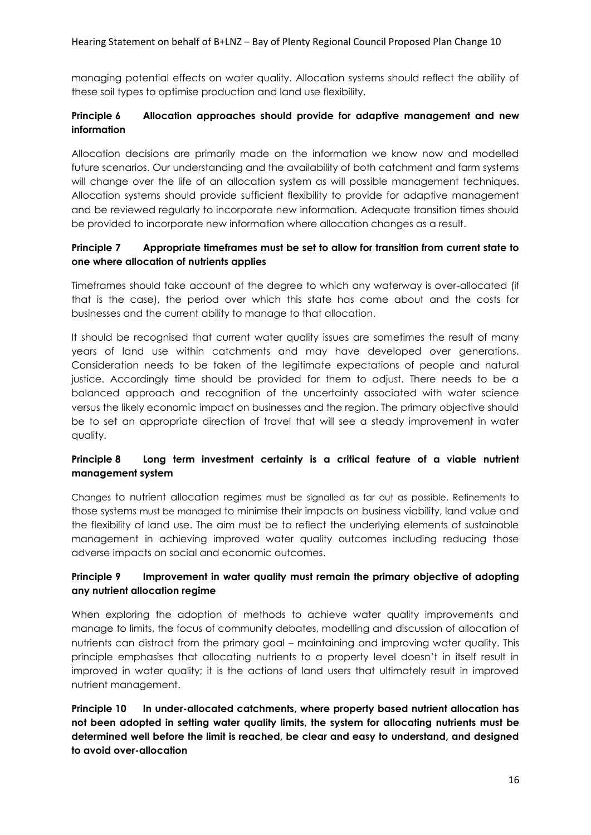managing potential effects on water quality. Allocation systems should reflect the ability of these soil types to optimise production and land use flexibility.

## **Principle 6 Allocation approaches should provide for adaptive management and new information**

Allocation decisions are primarily made on the information we know now and modelled future scenarios. Our understanding and the availability of both catchment and farm systems will change over the life of an allocation system as will possible management techniques. Allocation systems should provide sufficient flexibility to provide for adaptive management and be reviewed regularly to incorporate new information. Adequate transition times should be provided to incorporate new information where allocation changes as a result.

## **Principle 7 Appropriate timeframes must be set to allow for transition from current state to one where allocation of nutrients applies**

Timeframes should take account of the degree to which any waterway is over-allocated (if that is the case), the period over which this state has come about and the costs for businesses and the current ability to manage to that allocation.

It should be recognised that current water quality issues are sometimes the result of many years of land use within catchments and may have developed over generations. Consideration needs to be taken of the legitimate expectations of people and natural justice. Accordingly time should be provided for them to adjust. There needs to be a balanced approach and recognition of the uncertainty associated with water science versus the likely economic impact on businesses and the region. The primary objective should be to set an appropriate direction of travel that will see a steady improvement in water quality.

## **Principle 8 Long term investment certainty is a critical feature of a viable nutrient management system**

Changes to nutrient allocation regimes must be signalled as far out as possible. Refinements to those systems must be managed to minimise their impacts on business viability, land value and the flexibility of land use. The aim must be to reflect the underlying elements of sustainable management in achieving improved water quality outcomes including reducing those adverse impacts on social and economic outcomes.

### **Principle 9 Improvement in water quality must remain the primary objective of adopting any nutrient allocation regime**

When exploring the adoption of methods to achieve water quality improvements and manage to limits, the focus of community debates, modelling and discussion of allocation of nutrients can distract from the primary goal – maintaining and improving water quality. This principle emphasises that allocating nutrients to a property level doesn't in itself result in improved in water quality; it is the actions of land users that ultimately result in improved nutrient management.

**Principle 10 In under-allocated catchments, where property based nutrient allocation has not been adopted in setting water quality limits, the system for allocating nutrients must be determined well before the limit is reached, be clear and easy to understand, and designed to avoid over-allocation**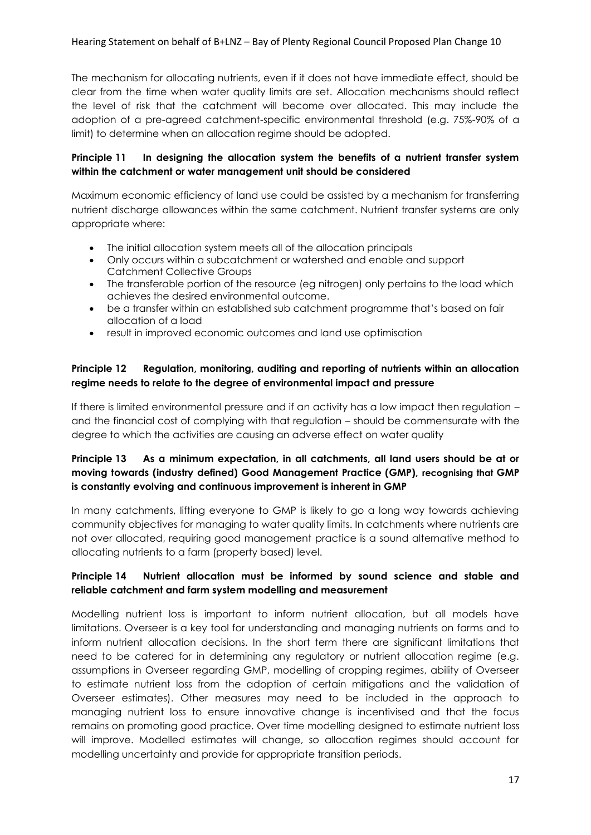The mechanism for allocating nutrients, even if it does not have immediate effect, should be clear from the time when water quality limits are set. Allocation mechanisms should reflect the level of risk that the catchment will become over allocated. This may include the adoption of a pre-agreed catchment-specific environmental threshold (e.g. 75%-90% of a limit) to determine when an allocation regime should be adopted.

## **Principle 11 In designing the allocation system the benefits of a nutrient transfer system within the catchment or water management unit should be considered**

Maximum economic efficiency of land use could be assisted by a mechanism for transferring nutrient discharge allowances within the same catchment. Nutrient transfer systems are only appropriate where:

- The initial allocation system meets all of the allocation principals
- Only occurs within a subcatchment or watershed and enable and support Catchment Collective Groups
- The transferable portion of the resource (eg nitrogen) only pertains to the load which achieves the desired environmental outcome.
- be a transfer within an established sub catchment programme that's based on fair allocation of a load
- result in improved economic outcomes and land use optimisation

### **Principle 12 Regulation, monitoring, auditing and reporting of nutrients within an allocation regime needs to relate to the degree of environmental impact and pressure**

If there is limited environmental pressure and if an activity has a low impact then regulation – and the financial cost of complying with that regulation – should be commensurate with the degree to which the activities are causing an adverse effect on water quality

## **Principle 13 As a minimum expectation, in all catchments, all land users should be at or moving towards (industry defined) Good Management Practice (GMP), recognising that GMP is constantly evolving and continuous improvement is inherent in GMP**

In many catchments, lifting everyone to GMP is likely to go a long way towards achieving community objectives for managing to water quality limits. In catchments where nutrients are not over allocated, requiring good management practice is a sound alternative method to allocating nutrients to a farm (property based) level.

## **Principle 14 Nutrient allocation must be informed by sound science and stable and reliable catchment and farm system modelling and measurement**

Modelling nutrient loss is important to inform nutrient allocation, but all models have limitations. Overseer is a key tool for understanding and managing nutrients on farms and to inform nutrient allocation decisions. In the short term there are significant limitations that need to be catered for in determining any regulatory or nutrient allocation regime (e.g. assumptions in Overseer regarding GMP, modelling of cropping regimes, ability of Overseer to estimate nutrient loss from the adoption of certain mitigations and the validation of Overseer estimates). Other measures may need to be included in the approach to managing nutrient loss to ensure innovative change is incentivised and that the focus remains on promoting good practice. Over time modelling designed to estimate nutrient loss will improve. Modelled estimates will change, so allocation regimes should account for modelling uncertainty and provide for appropriate transition periods.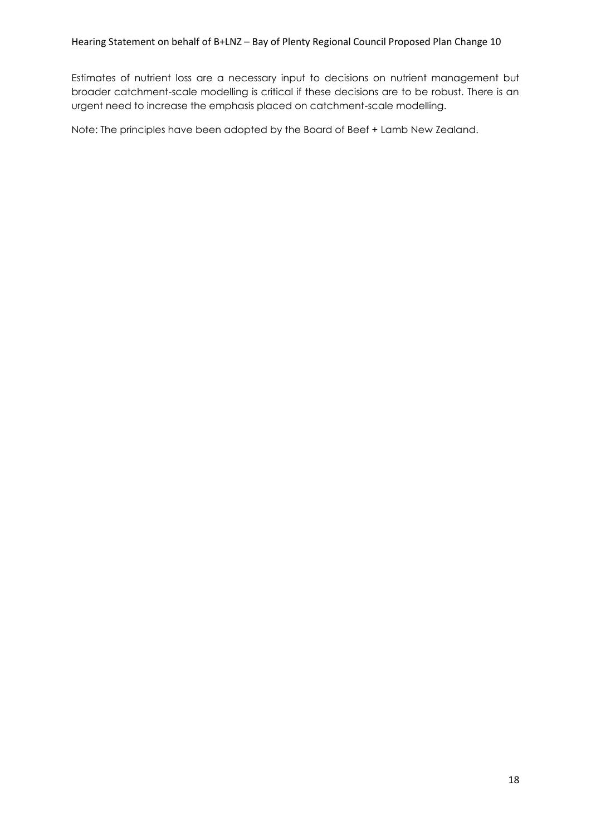Estimates of nutrient loss are a necessary input to decisions on nutrient management but broader catchment-scale modelling is critical if these decisions are to be robust. There is an urgent need to increase the emphasis placed on catchment-scale modelling.

Note: The principles have been adopted by the Board of Beef + Lamb New Zealand.